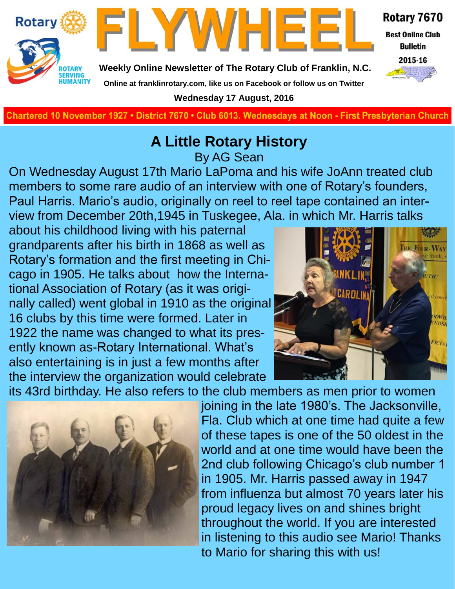



Rotary 7670

**Best Online Club Bulletin** 



**Weekly Online Newsletter of The Rotary Club of Franklin, N.C.**

#### **Online at franklinrotary.com, like us on Facebook or follow us on Twitter**

**Wednesday 17 August, 2016**

**Charted November 29, 1927 • District 7670 • Club 6013 Wednesdays at Noon - First Presbyterian Church**

### **A Little Rotary History**

By AG Sean

On Wednesday August 17th Mario LaPoma and his wife JoAnn treated club members to some rare audio of an interview with one of Rotary's founders, Paul Harris. Mario's audio, originally on reel to reel tape contained an interview from December 20th,1945 in Tuskegee, Ala. in which Mr. Harris talks

about his childhood living with his paternal grandparents after his birth in 1868 as well as Rotary's formation and the first meeting in Chicago in 1905. He talks about how the International Association of Rotary (as it was originally called) went global in 1910 as the original 16 clubs by this time were formed. Later in 1922 the name was changed to what its presently known as-Rotary International. What's also entertaining is in just a few months after the interview the organization would celebrate



its 43rd birthday. He also refers to the club members as men prior to women



joining in the late 1980's. The Jacksonville, Fla. Club which at one time had quite a few of these tapes is one of the 50 oldest in the world and at one time would have been the 2nd club following Chicago's club number 1 in 1905. Mr. Harris passed away in 1947 from influenza but almost 70 years later his proud legacy lives on and shines bright throughout the world. If you are interested in listening to this audio see Mario! Thanks to Mario for sharing this with us!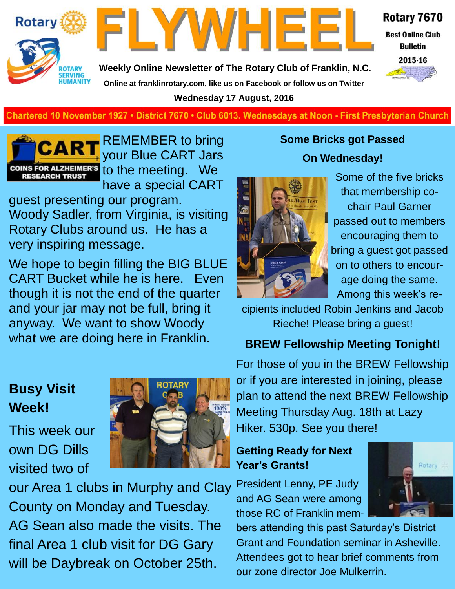



Rotary 7670

**Best Online Club Bulletin** 



**Weekly Online Newsletter of The Rotary Club of Franklin, N.C. Online at franklinrotary.com, like us on Facebook or follow us on Twitter Wednesday 17 August, 2016**

**Charted November 29, 1927 • District 7670 • Club 6013 Wednesdays at Noon - First Presbyterian Church**



REMEMBER to bring your Blue CART Jars COINS FOR ALZHEIMER'S to the meeting. We have a special CART

guest presenting our program. Woody Sadler, from Virginia, is visiting Rotary Clubs around us. He has a very inspiring message.

We hope to begin filling the BIG BLUE CART Bucket while he is here. Even though it is not the end of the quarter and your jar may not be full, bring it anyway. We want to show Woody what we are doing here in Franklin.

### **Busy Visit Week!**

This week our own DG Dills visited two of



our Area 1 clubs in Murphy and Clay County on Monday and Tuesday. AG Sean also made the visits. The final Area 1 club visit for DG Gary will be Daybreak on October 25th.

### **Some Bricks got Passed On Wednesday!**



Some of the five bricks that membership cochair Paul Garner passed out to members encouraging them to bring a guest got passed on to others to encourage doing the same. Among this week's re-

cipients included Robin Jenkins and Jacob Rieche! Please bring a guest!

### **BREW Fellowship Meeting Tonight!**

For those of you in the BREW Fellowship or if you are interested in joining, please plan to attend the next BREW Fellowship Meeting Thursday Aug. 18th at Lazy Hiker. 530p. See you there!

### **Getting Ready for Next Year's Grants!**

President Lenny, PE Judy and AG Sean were among those RC of Franklin mem-

Rotary

bers attending this past Saturday's District Grant and Foundation seminar in Asheville. Attendees got to hear brief comments from our zone director Joe Mulkerrin.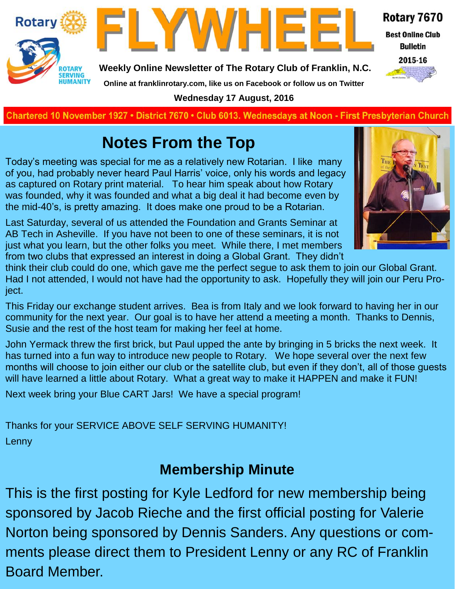



**Weekly Online Newsletter of The Rotary Club of Franklin, N.C.**

### Rotary 7670

**Best Online Club Bulletin** 



**Online at franklinrotary.com, like us on Facebook or follow us on Twitter**

**Wednesday 17 August, 2016**

**Charted November 29, 1927 • District 7670 • Club 6013 Wednesdays at Noon - First Presbyterian Church**

### **Notes From the Top**

Today's meeting was special for me as a relatively new Rotarian. I like many of you, had probably never heard Paul Harris' voice, only his words and legacy as captured on Rotary print material. To hear him speak about how Rotary was founded, why it was founded and what a big deal it had become even by the mid-40's, is pretty amazing. It does make one proud to be a Rotarian.

Last Saturday, several of us attended the Foundation and Grants Seminar at AB Tech in Asheville. If you have not been to one of these seminars, it is not just what you learn, but the other folks you meet. While there, I met members from two clubs that expressed an interest in doing a Global Grant. They didn't



think their club could do one, which gave me the perfect segue to ask them to join our Global Grant. Had I not attended, I would not have had the opportunity to ask. Hopefully they will join our Peru Project.

This Friday our exchange student arrives. Bea is from Italy and we look forward to having her in our community for the next year. Our goal is to have her attend a meeting a month. Thanks to Dennis, Susie and the rest of the host team for making her feel at home.

John Yermack threw the first brick, but Paul upped the ante by bringing in 5 bricks the next week. It has turned into a fun way to introduce new people to Rotary. We hope several over the next few months will choose to join either our club or the satellite club, but even if they don't, all of those guests will have learned a little about Rotary. What a great way to make it HAPPEN and make it FUN!

Next week bring your Blue CART Jars! We have a special program!

Thanks for your SERVICE ABOVE SELF SERVING HUMANITY! Lenny

### **Membership Minute**

This is the first posting for Kyle Ledford for new membership being sponsored by Jacob Rieche and the first official posting for Valerie Norton being sponsored by Dennis Sanders. Any questions or comments please direct them to President Lenny or any RC of Franklin Board Member.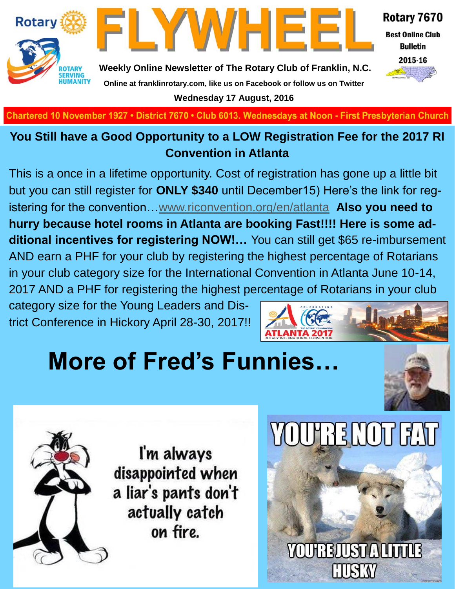



Rotary 7670

**Best Online Club Bulletin** 



**Weekly Online Newsletter of The Rotary Club of Franklin, N.C. Online at franklinrotary.com, like us on Facebook or follow us on Twitter Wednesday 17 August, 2016**

Chartered 10 November 1927 • District 7670 • Club 6013. Wednesdays at Noon - First Presbyterian Church

### **You Still have a Good Opportunity to a LOW Registration Fee for the 2017 RI Convention in Atlanta**

This is a once in a lifetime opportunity. Cost of registration has gone up a little bit but you can still register for **ONLY \$340** until December15) Here's the link for registering for the convention…[www.riconvention.org/en/atlanta](http://www.riconvention.org/en/atlanta) **Also you need to hurry because hotel rooms in Atlanta are booking Fast!!!! Here is some additional incentives for registering NOW!…** You can still get \$65 re-imbursement AND earn a PHF for your club by registering the highest percentage of Rotarians in your club category size for the International Convention in Atlanta June 10-14, 2017 AND a PHF for registering the highest percentage of Rotarians in your club

category size for the Young Leaders and District Conference in Hickory April 28-30, 2017!!



# **More of Fred's Funnies…**





I'm always disappointed when a liar's pants don't actually catch on fire.

# **YOUTRE NOT FAT**

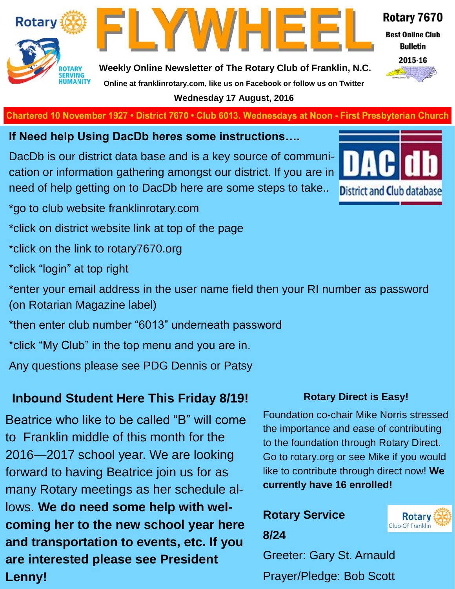

FLYWHEE

Rotary 7670

**Best Online Club Bulletin** 

2015-16

#### **Weekly Online Newsletter of The Rotary Club of Franklin, N.C. Online at franklinrotary.com, like us on Facebook or follow us on Twitter Wednesday 17 August, 2016**

**Charted November 29, 1927 • District 7670 • Club 6013 Wednesdays at Noon - First Presbyterian Church**

**If Need help Using DacDb heres some instructions….**

DacDb is our district data base and is a key source of communication or information gathering amongst our district. If you are in need of help getting on to DacDb here are some steps to take..



- \*click on district website link at top of the page
- \*click on the link to rotary7670.org
- \*click "login" at top right
- \*enter your email address in the user name field then your RI number as password (on Rotarian Magazine label)
- \*then enter club number "6013" underneath password
- \*click "My Club" in the top menu and you are in.
- Any questions please see PDG Dennis or Patsy

### **Inbound Student Here This Friday 8/19!**

Beatrice who like to be called "B" will come to Franklin middle of this month for the 2016—2017 school year. We are looking forward to having Beatrice join us for as many Rotary meetings as her schedule allows. **We do need some help with welcoming her to the new school year here and transportation to events, etc. If you are interested please see President Lenny!** 

### **Rotary Direct is Easy!**

Foundation co-chair Mike Norris stressed the importance and ease of contributing to the foundation through Rotary Direct. Go to rotary.org or see Mike if you would like to contribute through direct now! **We currently have 16 enrolled!**

### **Rotary Service**



Greeter: Gary St. Arnauld Prayer/Pledge: Bob Scott



**8/24**